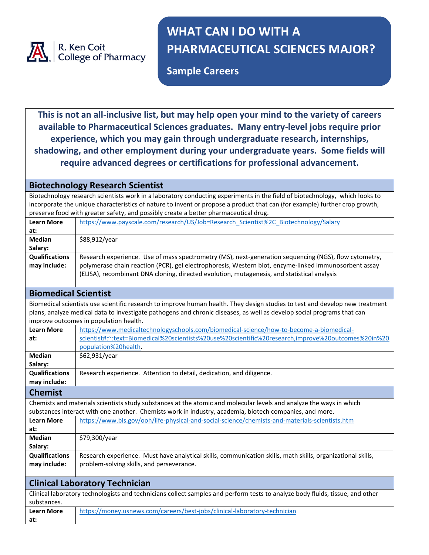

## **WHAT CAN I DO WITH A PHARMACEUTICAL SCIENCES MAJOR?**

**Sample Careers**

**This is not an all-inclusive list, but may help open your mind to the variety of careers available to Pharmaceutical Sciences graduates. Many entry-level jobs require prior experience, which you may gain through undergraduate research, internships, shadowing, and other employment during your undergraduate years. Some fields will require advanced degrees or certifications for professional advancement.**

## **Biotechnology Research Scientist**

**at:**

Biotechnology research scientists work in a laboratory conducting experiments in the field of biotechnology, which looks to incorporate the unique characteristics of nature to invent or propose a product that can (for example) further crop growth, preserve food with greater safety, and possibly create a better pharmaceutical drug.

| <b>Learn More</b>                                                                                                             | https://www.payscale.com/research/US/Job=Research Scientist%2C Biotechnology/Salary                                          |  |
|-------------------------------------------------------------------------------------------------------------------------------|------------------------------------------------------------------------------------------------------------------------------|--|
| at:                                                                                                                           |                                                                                                                              |  |
| <b>Median</b>                                                                                                                 | \$88,912/year                                                                                                                |  |
| Salary:                                                                                                                       |                                                                                                                              |  |
| <b>Qualifications</b>                                                                                                         | Research experience. Use of mass spectrometry (MS), next-generation sequencing (NGS), flow cytometry,                        |  |
| may include:                                                                                                                  | polymerase chain reaction (PCR), gel electrophoresis, Western blot, enzyme-linked immunosorbent assay                        |  |
|                                                                                                                               | (ELISA), recombinant DNA cloning, directed evolution, mutagenesis, and statistical analysis                                  |  |
|                                                                                                                               |                                                                                                                              |  |
| <b>Biomedical Scientist</b>                                                                                                   |                                                                                                                              |  |
|                                                                                                                               | Biomedical scientists use scientific research to improve human health. They design studies to test and develop new treatment |  |
|                                                                                                                               | plans, analyze medical data to investigate pathogens and chronic diseases, as well as develop social programs that can       |  |
| improve outcomes in population health.                                                                                        |                                                                                                                              |  |
| <b>Learn More</b>                                                                                                             | https://www.medicaltechnologyschools.com/biomedical-science/how-to-become-a-biomedical-                                      |  |
| at:                                                                                                                           | scientist#:~:text=Biomedical%20scientists%20use%20scientific%20research,improve%20outcomes%20in%20                           |  |
|                                                                                                                               | population%20health.                                                                                                         |  |
| <b>Median</b>                                                                                                                 | \$62,931/year                                                                                                                |  |
| Salary:                                                                                                                       |                                                                                                                              |  |
| <b>Qualifications</b>                                                                                                         | Research experience. Attention to detail, dedication, and diligence.                                                         |  |
| may include:                                                                                                                  |                                                                                                                              |  |
| <b>Chemist</b>                                                                                                                |                                                                                                                              |  |
|                                                                                                                               | Chemists and materials scientists study substances at the atomic and molecular levels and analyze the ways in which          |  |
| substances interact with one another. Chemists work in industry, academia, biotech companies, and more.                       |                                                                                                                              |  |
| <b>Learn More</b>                                                                                                             | https://www.bls.gov/ooh/life-physical-and-social-science/chemists-and-materials-scientists.htm                               |  |
| at:                                                                                                                           |                                                                                                                              |  |
| <b>Median</b>                                                                                                                 | \$79,300/year                                                                                                                |  |
| Salary:                                                                                                                       |                                                                                                                              |  |
| <b>Qualifications</b>                                                                                                         | Research experience. Must have analytical skills, communication skills, math skills, organizational skills,                  |  |
| may include:                                                                                                                  | problem-solving skills, and perseverance.                                                                                    |  |
|                                                                                                                               |                                                                                                                              |  |
| <b>Clinical Laboratory Technician</b>                                                                                         |                                                                                                                              |  |
| Clinical laboratory technologists and technicians collect samples and perform tests to analyze body fluids, tissue, and other |                                                                                                                              |  |
| substances.                                                                                                                   |                                                                                                                              |  |
| <b>Learn More</b>                                                                                                             | https://money.usnews.com/careers/best-jobs/clinical-laboratory-technician                                                    |  |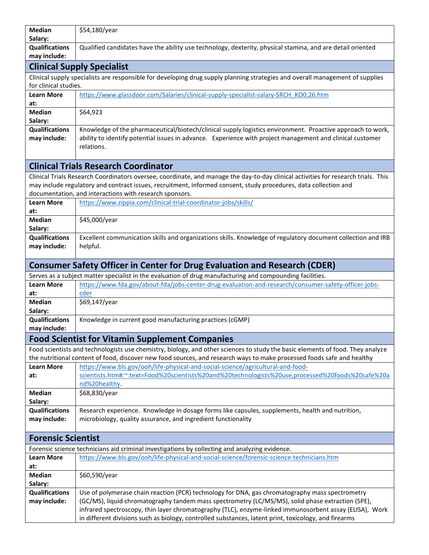| <b>Median</b><br>Salary:                                                                                                                               | \$54,180/year                                                                                                                                                                                                                                            |  |
|--------------------------------------------------------------------------------------------------------------------------------------------------------|----------------------------------------------------------------------------------------------------------------------------------------------------------------------------------------------------------------------------------------------------------|--|
| <b>Qualifications</b>                                                                                                                                  | Qualified candidates have the ability use technology, dexterity, physical stamina, and are detail oriented                                                                                                                                               |  |
| may include:                                                                                                                                           |                                                                                                                                                                                                                                                          |  |
|                                                                                                                                                        | <b>Clinical Supply Specialist</b>                                                                                                                                                                                                                        |  |
| Clinical supply specialists are responsible for developing drug supply planning strategies and overall management of supplies<br>for clinical studies. |                                                                                                                                                                                                                                                          |  |
| <b>Learn More</b><br>at:                                                                                                                               | https://www.glassdoor.com/Salaries/clinical-supply-specialist-salary-SRCH KO0,26.htm                                                                                                                                                                     |  |
| <b>Median</b>                                                                                                                                          | \$64,923                                                                                                                                                                                                                                                 |  |
| Salary:                                                                                                                                                |                                                                                                                                                                                                                                                          |  |
| <b>Qualifications</b>                                                                                                                                  | Knowledge of the pharmaceutical/biotech/clinical supply logistics environment. Proactive approach to work,                                                                                                                                               |  |
| may include:                                                                                                                                           | ability to identify potential issues in advance. Experience with project management and clinical customer                                                                                                                                                |  |
|                                                                                                                                                        | relations.                                                                                                                                                                                                                                               |  |
|                                                                                                                                                        | <b>Clinical Trials Research Coordinator</b>                                                                                                                                                                                                              |  |
|                                                                                                                                                        | Clinical Trials Research Coordinators oversee, coordinate, and manage the day-to-day clinical activities for research trials. This                                                                                                                       |  |
| may include regulatory and contract issues, recruitment, informed consent, study procedures, data collection and                                       |                                                                                                                                                                                                                                                          |  |
|                                                                                                                                                        | documentation, and interactions with research sponsors.                                                                                                                                                                                                  |  |
| <b>Learn More</b><br>at:                                                                                                                               | https://www.zippia.com/clinical-trial-coordinator-jobs/skills/                                                                                                                                                                                           |  |
| <b>Median</b>                                                                                                                                          | \$45,000/year                                                                                                                                                                                                                                            |  |
| Salary:                                                                                                                                                |                                                                                                                                                                                                                                                          |  |
| <b>Qualifications</b>                                                                                                                                  | Excellent communication skills and organizations skills. Knowledge of regulatory document collection and IRB                                                                                                                                             |  |
| may include:                                                                                                                                           | helpful.                                                                                                                                                                                                                                                 |  |
|                                                                                                                                                        | <b>Consumer Safety Officer in Center for Drug Evaluation and Research (CDER)</b>                                                                                                                                                                         |  |
|                                                                                                                                                        | Serves as a subject matter specialist in the evaluation of drug manufacturing and compounding facilities.                                                                                                                                                |  |
| <b>Learn More</b>                                                                                                                                      | https://www.fda.gov/about-fda/jobs-center-drug-evaluation-and-research/consumer-safety-officer-jobs-                                                                                                                                                     |  |
| at:                                                                                                                                                    | cder                                                                                                                                                                                                                                                     |  |
| <b>Median</b><br>Salary:                                                                                                                               | \$69,147/year                                                                                                                                                                                                                                            |  |
| <b>Qualifications</b>                                                                                                                                  | Knowledge in current good manufacturing practices (cGMP)                                                                                                                                                                                                 |  |
| may include:                                                                                                                                           |                                                                                                                                                                                                                                                          |  |
|                                                                                                                                                        | <b>Food Scientist for Vitamin Supplement Companies</b>                                                                                                                                                                                                   |  |
|                                                                                                                                                        | Food scientists and technologists use chemistry, biology, and other sciences to study the basic elements of food. They analyze<br>the nutritional content of food, discover new food sources, and research ways to make processed foods safe and healthy |  |
| <b>Learn More</b>                                                                                                                                      | https://www.bls.gov/ooh/life-physical-and-social-science/agricultural-and-food-                                                                                                                                                                          |  |
| at:                                                                                                                                                    | scientists.htm#:~:text=Food%20scientists%20and%20technologists%20use,processed%20foods%20safe%20a                                                                                                                                                        |  |
| Median                                                                                                                                                 | nd%20healthy.<br>\$68,830/year                                                                                                                                                                                                                           |  |
| Salary:                                                                                                                                                |                                                                                                                                                                                                                                                          |  |
| <b>Qualifications</b>                                                                                                                                  | Research experience. Knowledge in dosage forms like capsules, supplements, health and nutrition,                                                                                                                                                         |  |
| may include:                                                                                                                                           | microbiology, quality assurance, and ingredient functionality                                                                                                                                                                                            |  |
| <b>Forensic Scientist</b>                                                                                                                              |                                                                                                                                                                                                                                                          |  |
|                                                                                                                                                        | Forensic science technicians aid criminal investigations by collecting and analyzing evidence.                                                                                                                                                           |  |
| <b>Learn More</b>                                                                                                                                      | https://www.bls.gov/ooh/life-physical-and-social-science/forensic-science-technicians.htm                                                                                                                                                                |  |
| at:                                                                                                                                                    |                                                                                                                                                                                                                                                          |  |
| Median<br>Salary:                                                                                                                                      | \$60,590/year                                                                                                                                                                                                                                            |  |
| <b>Qualifications</b>                                                                                                                                  | Use of polymerase chain reaction (PCR) technology for DNA, gas chromatography mass spectrometry                                                                                                                                                          |  |
| may include:                                                                                                                                           | (GC/MS), liquid chromatography tandem mass spectrometry (LC/MS/MS), solid phase extraction (SPE),                                                                                                                                                        |  |
|                                                                                                                                                        | infrared spectroscopy, thin layer chromatography (TLC), enzyme-linked immunosorbent assay (ELISA), Work                                                                                                                                                  |  |
|                                                                                                                                                        | in different divisions such as biology, controlled substances, latent print, toxicology, and firearms                                                                                                                                                    |  |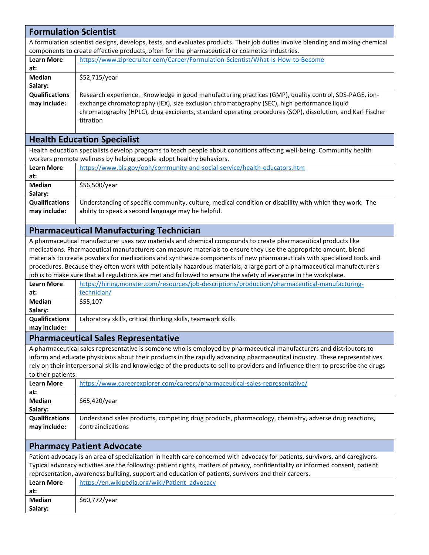| <b>Formulation Scientist</b>                                                                                                    |                                                                                                                                                       |  |
|---------------------------------------------------------------------------------------------------------------------------------|-------------------------------------------------------------------------------------------------------------------------------------------------------|--|
| A formulation scientist designs, develops, tests, and evaluates products. Their job duties involve blending and mixing chemical |                                                                                                                                                       |  |
| components to create effective products, often for the pharmaceutical or cosmetics industries.                                  |                                                                                                                                                       |  |
| <b>Learn More</b>                                                                                                               | https://www.ziprecruiter.com/Career/Formulation-Scientist/What-Is-How-to-Become                                                                       |  |
| at:                                                                                                                             |                                                                                                                                                       |  |
| <b>Median</b><br>Salary:                                                                                                        | \$52,715/year                                                                                                                                         |  |
| <b>Qualifications</b>                                                                                                           | Research experience. Knowledge in good manufacturing practices (GMP), quality control, SDS-PAGE, ion-                                                 |  |
| may include:                                                                                                                    | exchange chromatography (IEX), size exclusion chromatography (SEC), high performance liquid                                                           |  |
|                                                                                                                                 | chromatography (HPLC), drug excipients, standard operating procedures (SOP), dissolution, and Karl Fischer                                            |  |
|                                                                                                                                 | titration                                                                                                                                             |  |
|                                                                                                                                 |                                                                                                                                                       |  |
|                                                                                                                                 | <b>Health Education Specialist</b>                                                                                                                    |  |
|                                                                                                                                 | Health education specialists develop programs to teach people about conditions affecting well-being. Community health                                 |  |
|                                                                                                                                 | workers promote wellness by helping people adopt healthy behaviors.                                                                                   |  |
| <b>Learn More</b>                                                                                                               | https://www.bls.gov/ooh/community-and-social-service/health-educators.htm                                                                             |  |
| at:                                                                                                                             |                                                                                                                                                       |  |
| <b>Median</b><br>Salary:                                                                                                        | \$56,500/year                                                                                                                                         |  |
| <b>Qualifications</b>                                                                                                           | Understanding of specific community, culture, medical condition or disability with which they work. The                                               |  |
| may include:                                                                                                                    | ability to speak a second language may be helpful.                                                                                                    |  |
|                                                                                                                                 |                                                                                                                                                       |  |
|                                                                                                                                 | <b>Pharmaceutical Manufacturing Technician</b>                                                                                                        |  |
|                                                                                                                                 | A pharmaceutical manufacturer uses raw materials and chemical compounds to create pharmaceutical products like                                        |  |
|                                                                                                                                 | medications. Pharmaceutical manufacturers can measure materials to ensure they use the appropriate amount, blend                                      |  |
|                                                                                                                                 | materials to create powders for medications and synthesize components of new pharmaceuticals with specialized tools and                               |  |
|                                                                                                                                 | procedures. Because they often work with potentially hazardous materials, a large part of a pharmaceutical manufacturer's                             |  |
| <b>Learn More</b>                                                                                                               | job is to make sure that all regulations are met and followed to ensure the safety of everyone in the workplace.                                      |  |
| at:                                                                                                                             | https://hiring.monster.com/resources/job-descriptions/production/pharmaceutical-manufacturing-<br>technician/                                         |  |
| <b>Median</b>                                                                                                                   | \$55,107                                                                                                                                              |  |
| Salary:                                                                                                                         |                                                                                                                                                       |  |
| <b>Qualifications</b>                                                                                                           | Laboratory skills, critical thinking skills, teamwork skills                                                                                          |  |
| may include:                                                                                                                    |                                                                                                                                                       |  |
|                                                                                                                                 | <b>Pharmaceutical Sales Representative</b>                                                                                                            |  |
|                                                                                                                                 | A pharmaceutical sales representative is someone who is employed by pharmaceutical manufacturers and distributors to                                  |  |
|                                                                                                                                 | inform and educate physicians about their products in the rapidly advancing pharmaceutical industry. These representatives                            |  |
|                                                                                                                                 | rely on their interpersonal skills and knowledge of the products to sell to providers and influence them to prescribe the drugs                       |  |
| to their patients.<br><b>Learn More</b>                                                                                         | https://www.careerexplorer.com/careers/pharmaceutical-sales-representative/                                                                           |  |
| at:                                                                                                                             |                                                                                                                                                       |  |
| <b>Median</b>                                                                                                                   | \$65,420/year                                                                                                                                         |  |
| Salary:                                                                                                                         |                                                                                                                                                       |  |
| <b>Qualifications</b>                                                                                                           | Understand sales products, competing drug products, pharmacology, chemistry, adverse drug reactions,                                                  |  |
| may include:                                                                                                                    | contraindications                                                                                                                                     |  |
|                                                                                                                                 |                                                                                                                                                       |  |
|                                                                                                                                 | <b>Pharmacy Patient Advocate</b>                                                                                                                      |  |
|                                                                                                                                 | Patient advocacy is an area of specialization in health care concerned with advocacy for patients, survivors, and caregivers.                         |  |
| Typical advocacy activities are the following: patient rights, matters of privacy, confidentiality or informed consent, patient |                                                                                                                                                       |  |
| <b>Learn More</b>                                                                                                               | representation, awareness building, support and education of patients, survivors and their careers.<br>https://en.wikipedia.org/wiki/Patient advocacy |  |
| at:                                                                                                                             |                                                                                                                                                       |  |
| <b>Median</b>                                                                                                                   | \$60,772/year                                                                                                                                         |  |
| Salary:                                                                                                                         |                                                                                                                                                       |  |